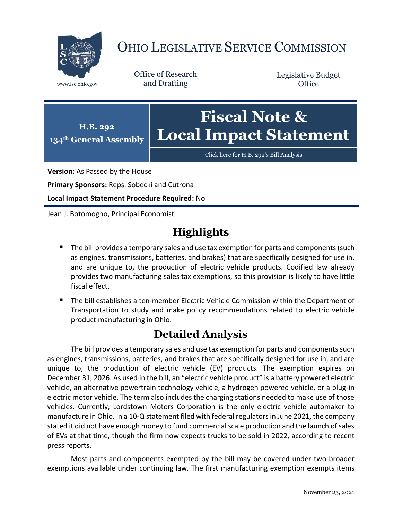

## OHIO LEGISLATIVE SERVICE COMMISSION

Office of Research www.lsc.ohio.gov and Drafting

Legislative Budget **Office** 



[Click here for H.B. 292](https://www.legislature.ohio.gov/legislation/legislation-documents?id=GA134-HB-292)'s Bill Analysis

**Version:** As Passed by the House

**Primary Sponsors:** Reps. Sobecki and Cutrona

**Local Impact Statement Procedure Required:** No

Jean J. Botomogno, Principal Economist

## **Highlights**

- The bill provides a temporary sales and use tax exemption for parts and components (such as engines, transmissions, batteries, and brakes) that are specifically designed for use in, and are unique to, the production of electric vehicle products. Codified law already provides two manufacturing sales tax exemptions, so this provision is likely to have little fiscal effect.
- The bill establishes a ten-member Electric Vehicle Commission within the Department of Transportation to study and make policy recommendations related to electric vehicle product manufacturing in Ohio.

## **Detailed Analysis**

The bill provides a temporary sales and use tax exemption for parts and components such as engines, transmissions, batteries, and brakes that are specifically designed for use in, and are unique to, the production of electric vehicle (EV) products. The exemption expires on December 31, 2026. As used in the bill, an "electric vehicle product" is a battery powered electric vehicle, an alternative powertrain technology vehicle, a hydrogen powered vehicle, or a plug-in electric motor vehicle. The term also includes the charging stations needed to make use of those vehicles. Currently, Lordstown Motors Corporation is the only electric vehicle automaker to manufacture in Ohio. In a 10-Q statement filed with federal regulators in June 2021, the company stated it did not have enough money to fund commercial scale production and the launch of sales of EVs at that time, though the firm now expects trucks to be sold in 2022, according to recent press reports.

Most parts and components exempted by the bill may be covered under two broader exemptions available under continuing law. The first manufacturing exemption exempts items